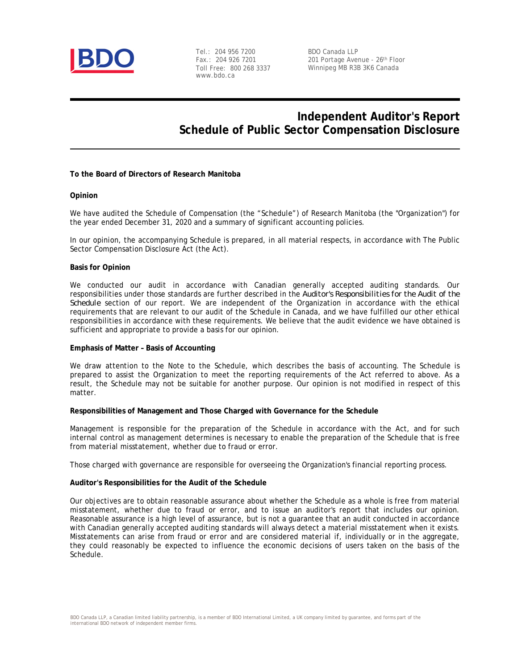

Tel.: 204 956 7200 Fax.: 204 926 7201 Toll Free: 800 268 3337 www.bdo.ca

BDO Canada LLP 201 Portage Avenue - 26th Floor Winnipeg MB R3B 3K6 Canada

# **Independent Auditor's Report Schedule of Public Sector Compensation Disclosure**

**To the Board of Directors of Research Manitoba**

### **Opinion**

We have audited the Schedule of Compensation (the "Schedule") of Research Manitoba (the "Organization") for the year ended December 31, 2020 and a summary of significant accounting policies.

In our opinion, the accompanying Schedule is prepared, in all material respects, in accordance with The Public Sector Compensation Disclosure Act (the Act).

### **Basis for Opinion**

We conducted our audit in accordance with Canadian generally accepted auditing standards. Our responsibilities under those standards are further described in the *Auditor's Responsibilities for the Audit of the Schedule* section of our report. We are independent of the Organization in accordance with the ethical requirements that are relevant to our audit of the Schedule in Canada, and we have fulfilled our other ethical responsibilities in accordance with these requirements. We believe that the audit evidence we have obtained is sufficient and appropriate to provide a basis for our opinion.

### **Emphasis of Matter – Basis of Accounting**

We draw attention to the Note to the Schedule, which describes the basis of accounting. The Schedule is prepared to assist the Organization to meet the reporting requirements of the Act referred to above. As a result, the Schedule may not be suitable for another purpose. Our opinion is not modified in respect of this matter.

**Responsibilities of Management and Those Charged with Governance for the Schedule**

Management is responsible for the preparation of the Schedule in accordance with the Act, and for such internal control as management determines is necessary to enable the preparation of the Schedule that is free from material misstatement, whether due to fraud or error.

Those charged with governance are responsible for overseeing the Organization's financial reporting process.

#### **Auditor's Responsibilities for the Audit of the Schedule**

Our objectives are to obtain reasonable assurance about whether the Schedule as a whole is free from material misstatement, whether due to fraud or error, and to issue an auditor's report that includes our opinion. Reasonable assurance is a high level of assurance, but is not a guarantee that an audit conducted in accordance with Canadian generally accepted auditing standards will always detect a material misstatement when it exists. Misstatements can arise from fraud or error and are considered material if, individually or in the aggregate, they could reasonably be expected to influence the economic decisions of users taken on the basis of the Schedule.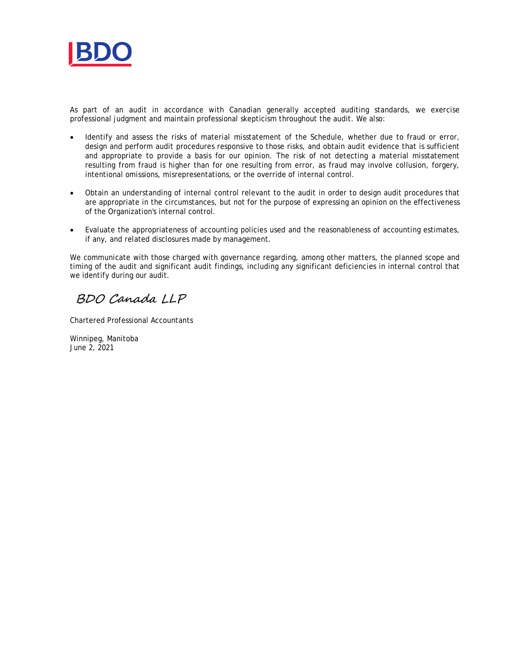

As part of an audit in accordance with Canadian generally accepted auditing standards, we exercise professional judgment and maintain professional skepticism throughout the audit. We also:

- Identify and assess the risks of material misstatement of the Schedule, whether due to fraud or error, design and perform audit procedures responsive to those risks, and obtain audit evidence that is sufficient and appropriate to provide a basis for our opinion. The risk of not detecting a material misstatement resulting from fraud is higher than for one resulting from error, as fraud may involve collusion, forgery, intentional omissions, misrepresentations, or the override of internal control.
- · Obtain an understanding of internal control relevant to the audit in order to design audit procedures that are appropriate in the circumstances, but not for the purpose of expressing an opinion on the effectiveness of the Organization's internal control.
- · Evaluate the appropriateness of accounting policies used and the reasonableness of accounting estimates, if any, and related disclosures made by management.

We communicate with those charged with governance regarding, among other matters, the planned scope and timing of the audit and significant audit findings, including any significant deficiencies in internal control that we identify during our audit.

BDO Canada LLP

Chartered Professional Accountants

Winnipeg, Manitoba June 2, 2021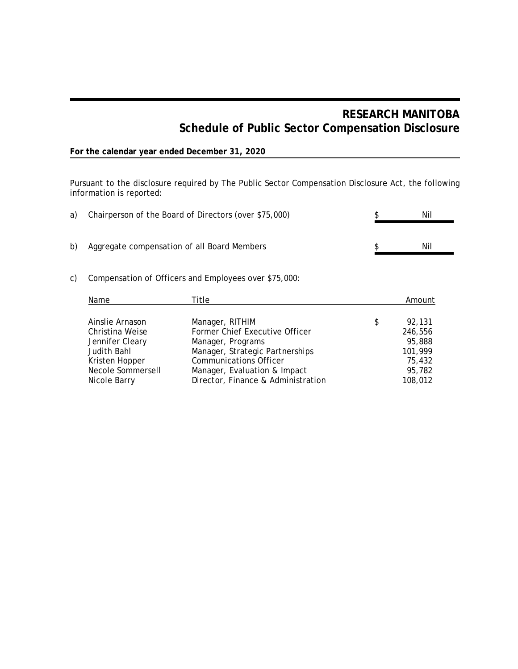# **RESEARCH MANITOBA Schedule of Public Sector Compensation Disclosure**

## **For the calendar year ended December 31, 2020**

Pursuant to the disclosure required by The Public Sector Compensation Disclosure Act, the following information is reported:

|    | a) Chairperson of the Board of Directors (over \$75,000) | Nil |
|----|----------------------------------------------------------|-----|
| b) | Aggregate compensation of all Board Members              | Nil |

## c) Compensation of Officers and Employees over \$75,000:

| Name              | Title                              | Amount       |
|-------------------|------------------------------------|--------------|
| Ainslie Arnason   | Manager, RITHIM                    | \$<br>92.131 |
| Christina Weise   | Former Chief Executive Officer     | 246,556      |
| Jennifer Cleary   | Manager, Programs                  | 95,888       |
| Judith Bahl       | Manager, Strategic Partnerships    | 101,999      |
| Kristen Hopper    | <b>Communications Officer</b>      | 75,432       |
| Necole Sommersell | Manager, Evaluation & Impact       | 95,782       |
| Nicole Barry      | Director, Finance & Administration | 108,012      |